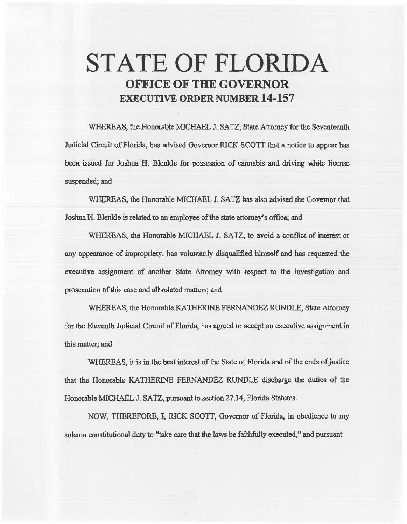# STATE OF FLORIDA OFFICE OF THE GOVERNOR EXECUTIVE ORDER NUMBER 14-157

WHEREAS, the Honorable MICHAEL J. SATZ, State Attorney for the Seventeenth Judicial Circuit of Florida, has advised Governor RICK SCOTT that a notice to appear has been issued for Joshua H. Blenkle for possession of cannabis and driving while license suspended; and

WHEREAS, the Honorable MICHAEL J. SATZ has also advised the Governor that Joshua H. Blenkle is related to an employee of the state attorney's office; and

WHEREAS, the Honorable MICHAEL J. SATZ, to avoid a conflict of interest or any appearance of impropriety, has voluntarily disqualified himself and bas requested the executive assignment of another State Attorney with respect to the investigation and prosecution of this case and all related matters; and

WHEREAS, the Honorable KATHERINE FERNANDEZ RUNDLE, State Attorney for the Eleventh Judicial Circuit of Florida, has agreed to accept an executive assignment in this matter; and

WHEREAS, it is in the best interest of the State of Florida and of the ends of justice that the Honorable KATHERINE FERNANDEZ RUNDLE discharge the duties of the Honorable MICHAEL J. SATZ, pursuant to section 27.14, Florida Statutes.

NOW, THEREFORE, I, RICK SCOTI, Governor of Florida, in obedience to my solema constitutional duty to "take care that the laws be faithfully executed," and pursuant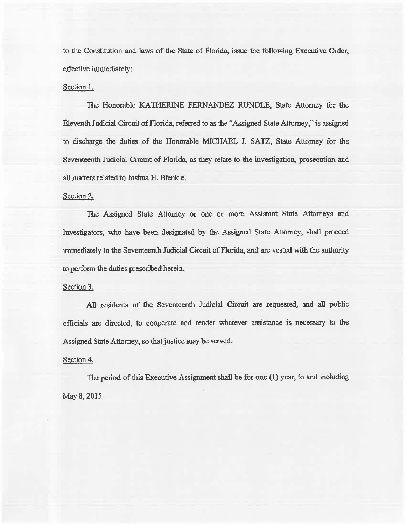to the Constitution and laws of the State of Florida, issue the following Executive Order, effective immediately:

## Section 1.

The Honorable KATHERINE FERNANDEZ RUNDLE, State Attorney for the Eleventh Judicial Circuit of Florida, referred to as the "Assigned State Attorney," is assigned to discharge the duties of the Honorable MICHAEL J. SATZ, State Attorney for the Seventeenth. Judicial Circuit of Florida, as they relate to the investigation, prosecution and all matters related to Joshua H. Blenkle.

## Section 2.

The Assigned State Attorney or one or more Assistant State Attorneys and Investigators, who have been designated by the Assigned State Attorney, shall proceed immediately to the Seventeenth Judicial Circuit of Florida, and are vested with the authority to perform the duties prescribed herein.

#### Section 3.

All residents of the Seventeenth Judicial Circuit are requested, and all public officials are directed, to cooperate and render whatever assistance is necessary to the Assigned State Attorney, so that justice may be served.

#### Section 4.

The period of this Executive Assignment shall be for one (1) year, to and including May8, 2015.